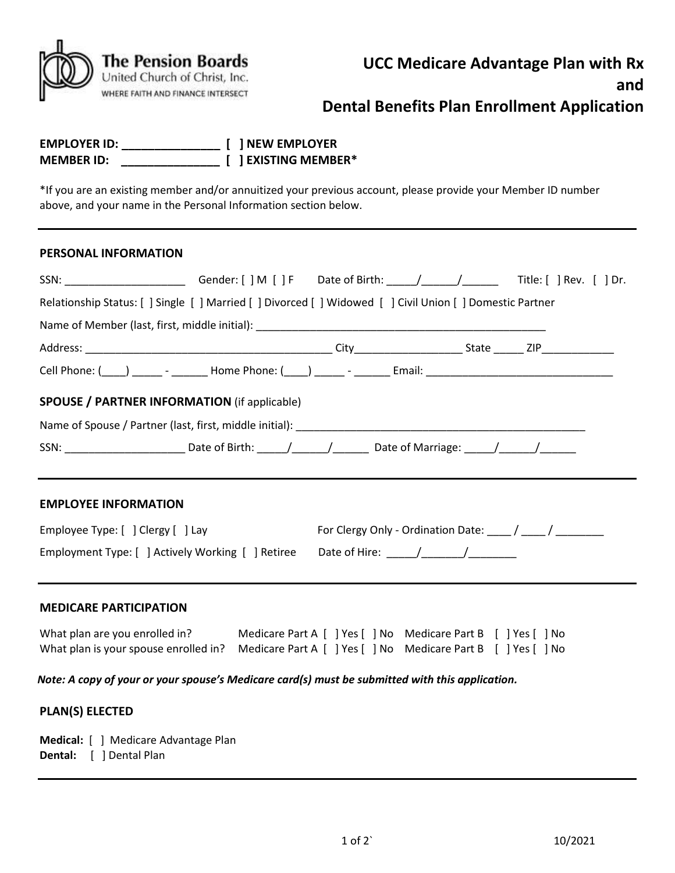| The Pension Boards<br>United Church of Christ, Inc.<br>WHERE FAITH AND FINANCE INTERSECT |
|------------------------------------------------------------------------------------------|
|                                                                                          |
|                                                                                          |

# **Dental Benefits Plan Enrollment Application**

| <b>EMPLOYER ID:</b> |  | [ ] NEW EMPLOYER     |
|---------------------|--|----------------------|
| <b>MEMBER ID:</b>   |  | [ ] EXISTING MEMBER* |

\*If you are an existing member and/or annuitized your previous account, please provide your Member ID number above, and your name in the Personal Information section below.

#### **PERSONAL INFORMATION**

| SSN: _________________________Gender: [ ] M [ ] F Date of Birth: _____/______/_________Title: [ ] Rev. [ ] Dr. |  |  |                                                           |
|----------------------------------------------------------------------------------------------------------------|--|--|-----------------------------------------------------------|
| Relationship Status: [ ] Single [ ] Married [ ] Divorced [ ] Widowed [ ] Civil Union [ ] Domestic Partner      |  |  |                                                           |
|                                                                                                                |  |  |                                                           |
|                                                                                                                |  |  |                                                           |
| Cell Phone: (12) 2022 - 2022 - Home Phone: (22) 2022 - 2022 - Email: 2022 - 2022 - 2022 - 2022 - 2022 - 2022 - |  |  |                                                           |
| <b>SPOUSE / PARTNER INFORMATION (if applicable)</b>                                                            |  |  |                                                           |
|                                                                                                                |  |  |                                                           |
| SSN: ____________________________Date of Birth: ______/________/ __________Date of Marriage: ______/________/  |  |  |                                                           |
| <b>EMPLOYEE INFORMATION</b>                                                                                    |  |  |                                                           |
| Employee Type: [ ] Clergy [ ] Lay                                                                              |  |  | For Clergy Only - Ordination Date: ____ / ____ / ________ |
|                                                                                                                |  |  |                                                           |
| <b>MEDICARE PARTICIPATION</b>                                                                                  |  |  |                                                           |

| What plan are you enrolled in?                                                                      | Medicare Part A [ ] Yes [ ] No Medicare Part B [ ] Yes [ ] No |  |
|-----------------------------------------------------------------------------------------------------|---------------------------------------------------------------|--|
| What plan is your spouse enrolled in? Medicare Part A [ ] Yes [ ] No Medicare Part B [ ] Yes [ ] No |                                                               |  |

*Note: A copy of your or your spouse's Medicare card(s) must be submitted with this application.*

## **PLAN(S) ELECTED**

|  | Medical: [ ] Medicare Advantage Plan |
|--|--------------------------------------|
|  | <b>Dental:</b> [ ] Dental Plan       |